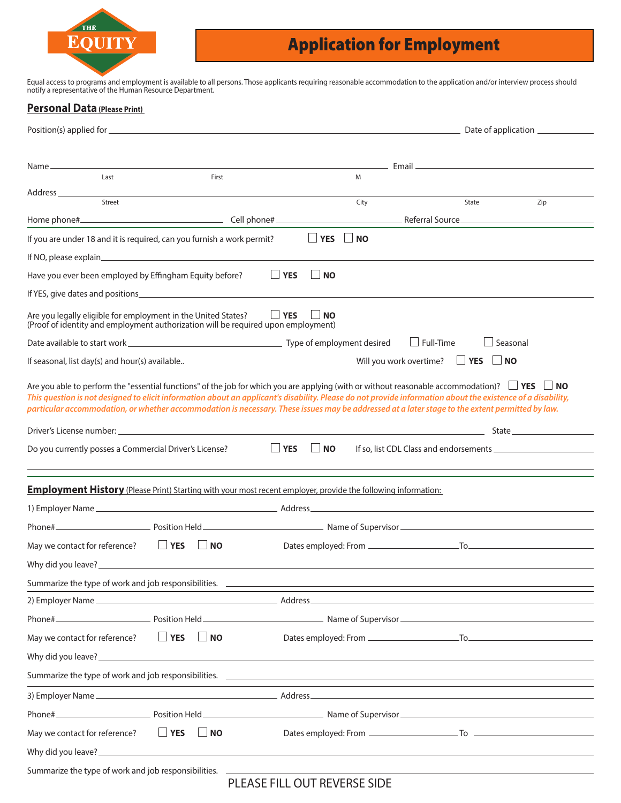

# Application for Employment

Equal access to programs and employment is available to all persons. Those applicants requiring reasonable accommodation to the application and/or interview process should notify a representative of the Human Resource Department.

#### **Personal Data (Please Print)**

|                                                                                                                                                                                                                                                                                                                                                                                                                                                                            |                      |           |                                 |                  | <u>____________</u> Email _________________________________ |     |
|----------------------------------------------------------------------------------------------------------------------------------------------------------------------------------------------------------------------------------------------------------------------------------------------------------------------------------------------------------------------------------------------------------------------------------------------------------------------------|----------------------|-----------|---------------------------------|------------------|-------------------------------------------------------------|-----|
| Last                                                                                                                                                                                                                                                                                                                                                                                                                                                                       |                      | First     | M                               |                  |                                                             |     |
| Address ___________<br>Street                                                                                                                                                                                                                                                                                                                                                                                                                                              |                      |           | City                            |                  | State                                                       | Zip |
|                                                                                                                                                                                                                                                                                                                                                                                                                                                                            |                      |           |                                 |                  | <b>Neferral Source</b> <u>Communication</u> Referral Source |     |
| If you are under 18 and it is required, can you furnish a work permit?                                                                                                                                                                                                                                                                                                                                                                                                     |                      |           | $\Box$ YES<br>$\blacksquare$ NO |                  |                                                             |     |
|                                                                                                                                                                                                                                                                                                                                                                                                                                                                            |                      |           |                                 |                  |                                                             |     |
| Have you ever been employed by Effingham Equity before?                                                                                                                                                                                                                                                                                                                                                                                                                    |                      |           | $\Box$ YES<br><b>NO</b>         |                  |                                                             |     |
|                                                                                                                                                                                                                                                                                                                                                                                                                                                                            |                      |           |                                 |                  |                                                             |     |
| Are you legally eligible for employment in the United States?<br>(Proof of identity and employment authorization will be required upon employment)                                                                                                                                                                                                                                                                                                                         |                      |           | $\Box$ YES<br>$\Box$ NO         |                  |                                                             |     |
|                                                                                                                                                                                                                                                                                                                                                                                                                                                                            |                      |           |                                 | $\Box$ Full-Time | $\Box$ Seasonal                                             |     |
| If seasonal, list day(s) and hour(s) available                                                                                                                                                                                                                                                                                                                                                                                                                             |                      |           |                                 |                  | Will you work overtime? $\Box$ <b>YES</b> $\Box$ <b>NO</b>  |     |
| Are you able to perform the "essential functions" of the job for which you are applying (with or without reasonable accommodation)? $\Box$ YES $\Box$ NO<br>This question is not designed to elicit information about an applicant's disability. Please do not provide information about the existence of a disability,<br>particular accommodation, or whether accommodation is necessary. These issues may be addressed at a later stage to the extent permitted by law. |                      |           |                                 |                  |                                                             |     |
|                                                                                                                                                                                                                                                                                                                                                                                                                                                                            |                      |           |                                 |                  |                                                             |     |
| Do you currently posses a Commercial Driver's License?                                                                                                                                                                                                                                                                                                                                                                                                                     |                      |           | $\Box$ YES<br>$\Box$ NO         |                  |                                                             |     |
|                                                                                                                                                                                                                                                                                                                                                                                                                                                                            |                      |           |                                 |                  |                                                             |     |
| <b>Employment History</b> (Please Print) Starting with your most recent employer, provide the following information:                                                                                                                                                                                                                                                                                                                                                       |                      |           |                                 |                  |                                                             |     |
|                                                                                                                                                                                                                                                                                                                                                                                                                                                                            |                      |           |                                 |                  |                                                             |     |
|                                                                                                                                                                                                                                                                                                                                                                                                                                                                            |                      |           |                                 |                  |                                                             |     |
| May we contact for reference?                                                                                                                                                                                                                                                                                                                                                                                                                                              | $\Box$ YES           | $\Box$ NO |                                 |                  |                                                             |     |
|                                                                                                                                                                                                                                                                                                                                                                                                                                                                            |                      |           |                                 |                  |                                                             |     |
|                                                                                                                                                                                                                                                                                                                                                                                                                                                                            |                      |           |                                 |                  |                                                             |     |
|                                                                                                                                                                                                                                                                                                                                                                                                                                                                            |                      |           |                                 |                  |                                                             |     |
|                                                                                                                                                                                                                                                                                                                                                                                                                                                                            |                      |           |                                 |                  |                                                             |     |
| May we contact for reference?                                                                                                                                                                                                                                                                                                                                                                                                                                              | $\Box$ YES $\Box$ NO |           |                                 |                  |                                                             |     |
|                                                                                                                                                                                                                                                                                                                                                                                                                                                                            |                      |           |                                 |                  |                                                             |     |
| Summarize the type of work and job responsibilities. <u>Superior and the contract of the set of the set of the set of</u>                                                                                                                                                                                                                                                                                                                                                  |                      |           |                                 |                  |                                                             |     |
|                                                                                                                                                                                                                                                                                                                                                                                                                                                                            |                      |           |                                 |                  |                                                             |     |
|                                                                                                                                                                                                                                                                                                                                                                                                                                                                            |                      |           |                                 |                  |                                                             |     |
| May we contact for reference? $\Box$ <b>YES</b> $\Box$ <b>NO</b>                                                                                                                                                                                                                                                                                                                                                                                                           |                      |           |                                 |                  |                                                             |     |
|                                                                                                                                                                                                                                                                                                                                                                                                                                                                            |                      |           |                                 |                  |                                                             |     |
|                                                                                                                                                                                                                                                                                                                                                                                                                                                                            |                      |           | NEACEFUL OUT DEVEDCE CIDE       |                  |                                                             |     |

# PLEASE FILL OUT REVERSE SIDE